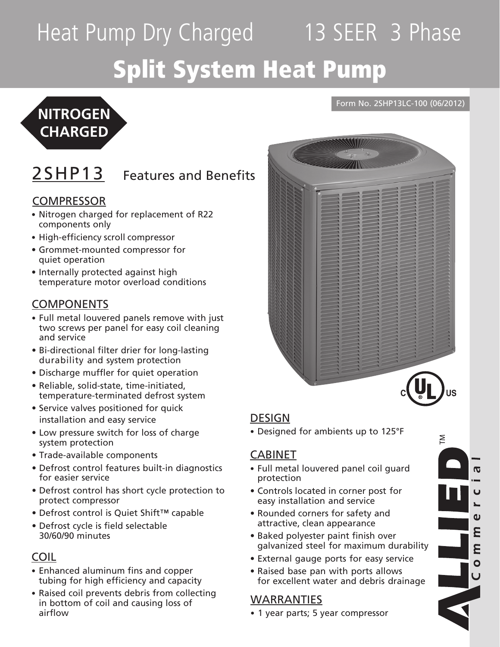# Heat Pump Dry Charged 13 SEER 3 Phase Split System Heat Pump



## 2SHP13 Features and Benefits

### **COMPRESSOR**

- Nitrogen charged for replacement of R22 components only
- High-efficiency scroll compressor
- • Grommet-mounted compressor for quiet operation
- Internally protected against high temperature motor overload conditions

### **COMPONENTS**

- Full metal louvered panels remove with just two screws per panel for easy coil cleaning and service
- • Bi-directional filter drier for long-lasting durability and system protection
- Discharge muffler for quiet operation
- • Reliable, solid-state, time-initiated, temperature-terminated defrost system
- Service valves positioned for quick installation and easy service
- Low pressure switch for loss of charge system protection
- • Trade-available components
- Defrost control features built-in diagnostics for easier service
- Defrost control has short cycle protection to protect compressor
- • Defrost control is Quiet Shift™ capable
- Defrost cycle is field selectable 30/60/90 minutes

### COIL

- Enhanced aluminum fins and copper tubing for high efficiency and capacity
- Raised coil prevents debris from collecting in bottom of coil and causing loss of airflow



Form No. 2SHP13LC-100 (06/2012)

### DESIGN

• Designed for ambients up to 125°F

### CABINET

- Full metal louvered panel coil guard protection
- • Controls located in corner post for easy installation and service
- Rounded corners for safety and attractive, clean appearance
- Baked polyester paint finish over galvanized steel for maximum durability
- External gauge ports for easy service
- Raised base pan with ports allows for excellent water and debris drainage

### WARRANTIES

- 1 year parts; 5 year compressor
- M  $\overline{\sigma}$  $\mathbf 0$ E  $\mathbf{o}$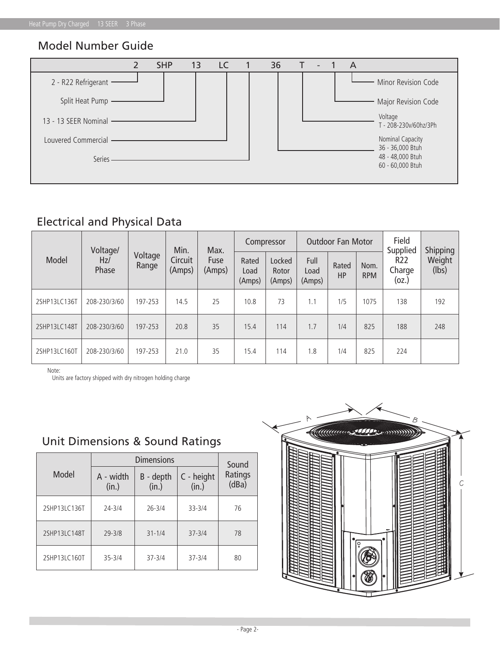### Model Number Guide



### Electrical and Physical Data

|              | Voltage/     |                  | Min.              | Max.           | Compressor              |                           |                        | <b>Outdoor Fan Motor</b> |                    | Field<br>Supplied             | Shipping<br>Weight<br>(lbs) |
|--------------|--------------|------------------|-------------------|----------------|-------------------------|---------------------------|------------------------|--------------------------|--------------------|-------------------------------|-----------------------------|
| Model        | Hz/<br>Phase | Voltage<br>Range | Circuit<br>(Amps) | Fuse<br>(Amps) | Rated<br>Load<br>(Amps) | Locked<br>Rotor<br>(Amps) | Full<br>Load<br>(Amps) | Rated<br><b>HP</b>       | Nom.<br><b>RPM</b> | <b>R22</b><br>Charge<br>(oz.) |                             |
| 2SHP13LC136T | 208-230/3/60 | 197-253          | 14.5              | 25             | 10.8                    | 73                        | 1.1                    | 1/5<br>1075              |                    | 138                           | 192                         |
| 2SHP13LC148T | 208-230/3/60 | 197-253          | 20.8              | 35             | 15.4                    | 114                       | 1.7                    | 825<br>1/4               |                    | 188                           | 248                         |
| 2SHP13LC160T | 208-230/3/60 | 197-253          | 21.0              | 35             | 15.4                    | 114                       | 1.8                    | 1/4                      | 825                | 224                           |                             |

Note:

Units are factory shipped with dry nitrogen holding charge

Unit Dimensions & Sound Ratings

|              |                    | Sound              |                     |                  |  |  |
|--------------|--------------------|--------------------|---------------------|------------------|--|--|
| Model        | A - width<br>(in.) | B - depth<br>(in.) | C - height<br>(in.) | Ratings<br>(dBa) |  |  |
| 2SHP13LC136T | $24 - 3/4$         | $26 - 3/4$         | $33 - 3/4$          | 76               |  |  |
| 2SHP13LC148T | $29 - 3/8$         | $31 - 1/4$         | $37 - 3/4$          | 78               |  |  |
| 2SHP13LC160T | $35 - 3/4$         | $37 - 3/4$         | $37 - 3/4$          | 80               |  |  |

# C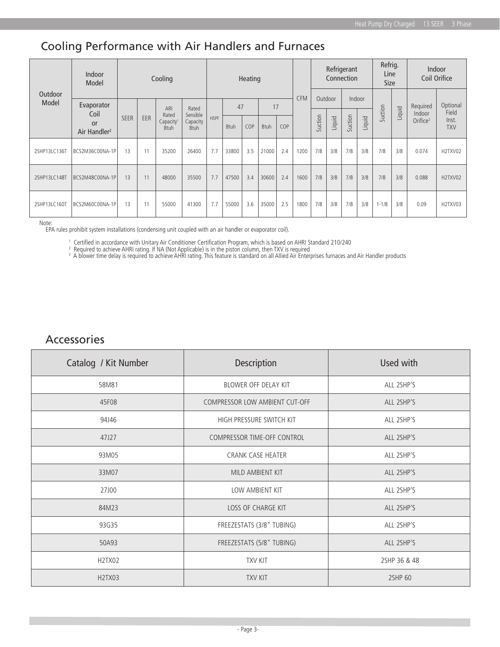### Cooling Performance with Air Handlers and Furnaces

| Outdoor<br>Model | Indoor<br>Model                                      | Cooling     |     |                                               |                                     | Heating     |             |     |             |     | Refrigerant<br>Connection |         |        | Refrig.<br>Line<br><b>Size</b> |        | Indoor<br>Coil Orifice |        |                                |                              |
|------------------|------------------------------------------------------|-------------|-----|-----------------------------------------------|-------------------------------------|-------------|-------------|-----|-------------|-----|---------------------------|---------|--------|--------------------------------|--------|------------------------|--------|--------------------------------|------------------------------|
|                  | Evaporator<br>Coil<br>or<br>Air Handler <sup>2</sup> |             |     | ARI                                           | Rated                               |             | 47          |     | 17          |     | <b>CFM</b>                | Outdoor |        | Indoor                         |        |                        |        | Required                       | Optional                     |
|                  |                                                      | <b>SEER</b> | EER | Rated<br>Capacity <sup>1</sup><br><b>Btuh</b> | Sensible<br>Capacity<br><b>Btuh</b> | <b>HSPF</b> | <b>Btuh</b> | COP | <b>Btuh</b> | COP |                           | Suction | Liquid | Suction                        | Liquid | Suction                | Liquid | Indoor<br>Orifice <sup>2</sup> | Field<br>Inst.<br><b>TXV</b> |
| 2SHP13LC136T     | BCS2M36C00NA-1P                                      | 13          | 11  | 35200                                         | 26400                               | 7.7         | 33800       | 3.5 | 21000       | 2.4 | 1200                      | 7/8     | 3/8    | 7/8                            | 3/8    | 7/8                    | 3/8    | 0.074                          | H2TXV02                      |
| 2SHP13LC148T     | BCS2M48C00NA-1P                                      | 13          | 11  | 48000                                         | 35500                               | 7.7         | 47500       | 3.4 | 30600       | 2.4 | 1600                      | 7/8     | 3/8    | 7/8                            | 3/8    | 7/8                    | 3/8    | 0.088                          | H2TXV02                      |
| 2SHP13LC160T     | BCS2M60C00NA-1P                                      | 13          | 11  | 55000                                         | 41300                               | 7.7         | 55000       | 3.6 | 35000       | 2.5 | 1800                      | 7/8     | 3/8    | 7/8                            | 3/8    | $1 - 1/8$              | 3/8    | 0.09                           | H2TXV03                      |

Note:

EPA rules prohibit system installations (condensing unit coupled with an air handler or evaporator coil).

<sup>1</sup> Certified in accordance with Unitary Air Conditioner Certification Program, which is based on AHRI Standard 210/240<br><sup>2</sup> Required to achieve AHRI rating. If NA (Not Applicable) is in the piston column, then TXV is requi

### Accessories

| Catalog / Kit Number             | Description                           | Used with    |  |  |  |  |
|----------------------------------|---------------------------------------|--------------|--|--|--|--|
| 58M81                            | BLOWER OFF DELAY KIT                  | ALL 2SHP'S   |  |  |  |  |
| 45F08                            | <b>COMPRESSOR LOW AMBIENT CUT-OFF</b> | ALL 2SHP'S   |  |  |  |  |
| 94J46                            | HIGH PRESSURE SWITCH KIT              | ALL 2SHP'S   |  |  |  |  |
| 47J27                            | COMPRESSOR TIME-OFF CONTROL           | ALL 2SHP'S   |  |  |  |  |
| 93M05                            | <b>CRANK CASE HEATER</b>              | ALL 2SHP'S   |  |  |  |  |
| 33M07                            | MILD AMBIENT KIT                      | ALL 2SHP'S   |  |  |  |  |
| 27J00                            | LOW AMBIENT KIT                       | ALL 2SHP'S   |  |  |  |  |
| 84M23                            | <b>LOSS OF CHARGE KIT</b>             | ALL 2SHP'S   |  |  |  |  |
| 93G35                            | FREEZESTATS (3/8" TUBING)             | ALL 2SHP'S   |  |  |  |  |
| 50A93                            | FREEZESTATS (5/8" TUBING)             | ALL 2SHP'S   |  |  |  |  |
| H <sub>2</sub> T <sub>X</sub> 02 | <b>TXV KIT</b>                        | 2SHP 36 & 48 |  |  |  |  |
| H <sub>2</sub> T <sub>X</sub> 03 | <b>TXV KIT</b>                        | 2SHP 60      |  |  |  |  |